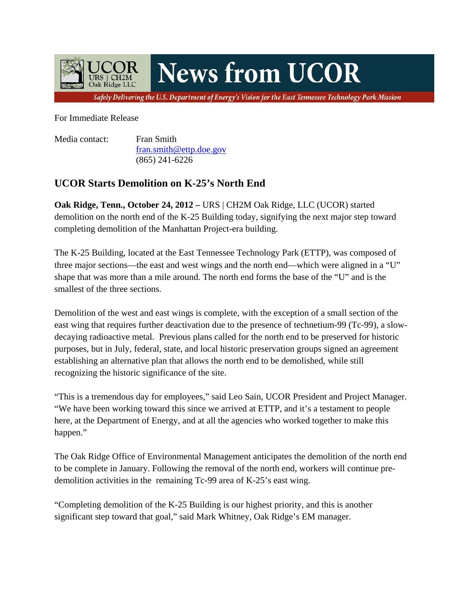

For Immediate Release

Media contact: Fran Smith fran.smith@ettp.doe.gov (865) 241-6226

## **UCOR Starts Demolition on K-25's North End**

**Oak Ridge, Tenn., October 24, 2012 – URS | CH2M Oak Ridge, LLC (UCOR) started** demolition on the north end of the K-25 Building today, signifying the next major step toward completing demolition of the Manhattan Project-era building.

The K-25 Building, located at the East Tennessee Technology Park (ETTP), was composed of three major sections—the east and west wings and the north end—which were aligned in a "U" shape that was more than a mile around. The north end forms the base of the "U" and is the smallest of the three sections.

Demolition of the west and east wings is complete, with the exception of a small section of the east wing that requires further deactivation due to the presence of technetium-99 (Tc-99), a slowdecaying radioactive metal. Previous plans called for the north end to be preserved for historic purposes, but in July, federal, state, and local historic preservation groups signed an agreement establishing an alternative plan that allows the north end to be demolished, while still recognizing the historic significance of the site.

"This is a tremendous day for employees," said Leo Sain, UCOR President and Project Manager. "We have been working toward this since we arrived at ETTP, and it's a testament to people here, at the Department of Energy, and at all the agencies who worked together to make this happen."

The Oak Ridge Office of Environmental Management anticipates the demolition of the north end to be complete in January. Following the removal of the north end, workers will continue predemolition activities in the remaining Tc-99 area of K-25's east wing.

"Completing demolition of the K-25 Building is our highest priority, and this is another significant step toward that goal," said Mark Whitney, Oak Ridge's EM manager.